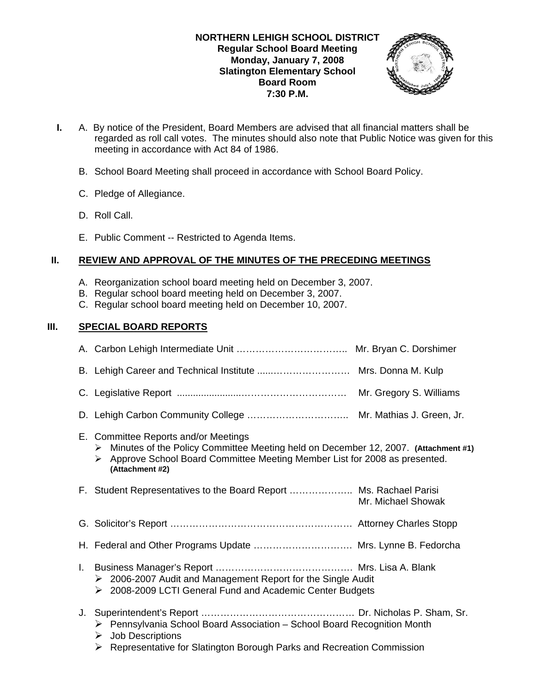

- **I.** A. By notice of the President, Board Members are advised that all financial matters shall be regarded as roll call votes. The minutes should also note that Public Notice was given for this meeting in accordance with Act 84 of 1986.
	- B. School Board Meeting shall proceed in accordance with School Board Policy.
	- C. Pledge of Allegiance.
	- D. Roll Call.
	- E. Public Comment -- Restricted to Agenda Items.

## **II. REVIEW AND APPROVAL OF THE MINUTES OF THE PRECEDING MEETINGS**

- A. Reorganization school board meeting held on December 3, 2007.
- B. Regular school board meeting held on December 3, 2007.
- C. Regular school board meeting held on December 10, 2007.

## **III. SPECIAL BOARD REPORTS**

|    | E. Committee Reports and/or Meetings<br>Minutes of the Policy Committee Meeting held on December 12, 2007. (Attachment #1)<br>➤<br>▶ Approve School Board Committee Meeting Member List for 2008 as presented.<br>(Attachment #2) |                    |
|----|-----------------------------------------------------------------------------------------------------------------------------------------------------------------------------------------------------------------------------------|--------------------|
|    | F. Student Representatives to the Board Report  Ms. Rachael Parisi                                                                                                                                                                | Mr. Michael Showak |
|    |                                                                                                                                                                                                                                   |                    |
|    | H. Federal and Other Programs Update  Mrs. Lynne B. Fedorcha                                                                                                                                                                      |                    |
| Ι. | $\geq$ 2006-2007 Audit and Management Report for the Single Audit<br>> 2008-2009 LCTI General Fund and Academic Center Budgets                                                                                                    |                    |
|    | > Pennsylvania School Board Association - School Board Recognition Month<br>$\triangleright$ Job Descriptions<br>$\triangleright$ Representative for Slatington Borough Parks and Recreation Commission                           |                    |
|    |                                                                                                                                                                                                                                   |                    |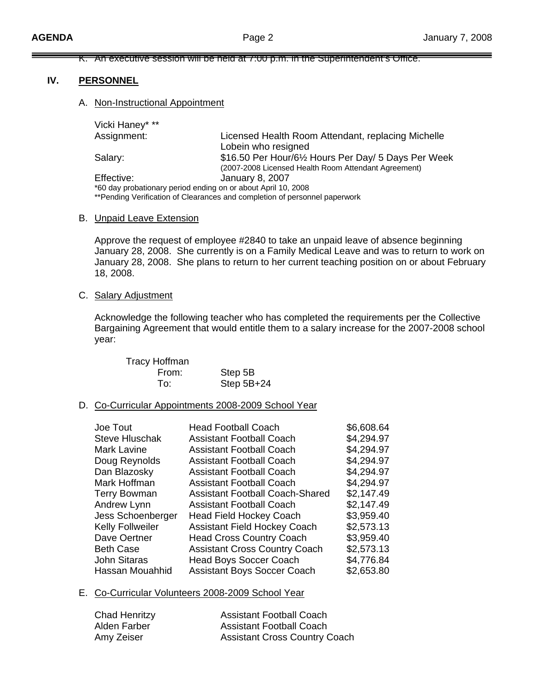### K. An executive session will be held at 7:00 p.m. in the Superintendent's Office.

### **IV. PERSONNEL**

#### A. Non-Instructional Appointment

| Vicki Haney* **                                                            |                                                      |  |  |  |
|----------------------------------------------------------------------------|------------------------------------------------------|--|--|--|
| Assignment:                                                                | Licensed Health Room Attendant, replacing Michelle   |  |  |  |
|                                                                            | Lobein who resigned                                  |  |  |  |
| Salary:                                                                    | \$16.50 Per Hour/6½ Hours Per Day/ 5 Days Per Week   |  |  |  |
|                                                                            | (2007-2008 Licensed Health Room Attendant Agreement) |  |  |  |
| Effective:                                                                 | <b>January 8, 2007</b>                               |  |  |  |
| *60 day probationary period ending on or about April 10, 2008              |                                                      |  |  |  |
| **Pending Verification of Clearances and completion of personnel paperwork |                                                      |  |  |  |

#### B. Unpaid Leave Extension

 Approve the request of employee #2840 to take an unpaid leave of absence beginning January 28, 2008. She currently is on a Family Medical Leave and was to return to work on January 28, 2008. She plans to return to her current teaching position on or about February 18, 2008.

#### C. Salary Adjustment

Acknowledge the following teacher who has completed the requirements per the Collective Bargaining Agreement that would entitle them to a salary increase for the 2007-2008 school year:

| <b>Tracy Hoffman</b> |              |
|----------------------|--------------|
| From:                | Step 5B      |
| To:                  | Step $5B+24$ |

#### D. Co-Curricular Appointments 2008-2009 School Year

| Joe Tout              | <b>Head Football Coach</b>             | \$6,608.64 |
|-----------------------|----------------------------------------|------------|
| <b>Steve Hluschak</b> | <b>Assistant Football Coach</b>        | \$4,294.97 |
| <b>Mark Lavine</b>    | <b>Assistant Football Coach</b>        | \$4,294.97 |
| Doug Reynolds         | <b>Assistant Football Coach</b>        | \$4,294.97 |
| Dan Blazosky          | <b>Assistant Football Coach</b>        | \$4,294.97 |
| Mark Hoffman          | <b>Assistant Football Coach</b>        | \$4,294.97 |
| <b>Terry Bowman</b>   | <b>Assistant Football Coach-Shared</b> | \$2,147.49 |
| Andrew Lynn           | <b>Assistant Football Coach</b>        | \$2,147.49 |
| Jess Schoenberger     | <b>Head Field Hockey Coach</b>         | \$3,959.40 |
| Kelly Follweiler      | <b>Assistant Field Hockey Coach</b>    | \$2,573.13 |
| Dave Oertner          | <b>Head Cross Country Coach</b>        | \$3,959.40 |
| <b>Beth Case</b>      | <b>Assistant Cross Country Coach</b>   | \$2,573.13 |
| <b>John Sitaras</b>   | <b>Head Boys Soccer Coach</b>          | \$4,776.84 |
| Hassan Mouahhid       | <b>Assistant Boys Soccer Coach</b>     | \$2,653.80 |
|                       |                                        |            |

### E. Co-Curricular Volunteers 2008-2009 School Year

| <b>Chad Henritzy</b> | <b>Assistant Football Coach</b>      |
|----------------------|--------------------------------------|
| Alden Farber         | <b>Assistant Football Coach</b>      |
| Amy Zeiser           | <b>Assistant Cross Country Coach</b> |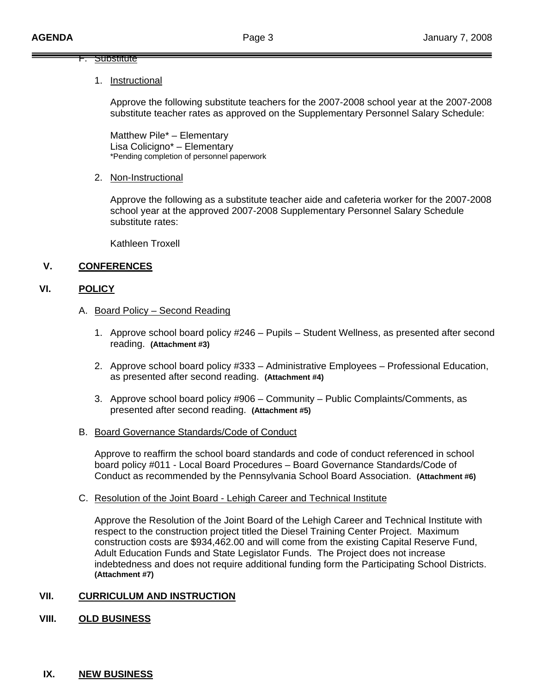### F. Substitute

### 1. Instructional

 Approve the following substitute teachers for the 2007-2008 school year at the 2007-2008 substitute teacher rates as approved on the Supplementary Personnel Salary Schedule:

Matthew Pile\* – Elementary Lisa Colicigno\* – Elementary \*Pending completion of personnel paperwork

## 2. Non-Instructional

Approve the following as a substitute teacher aide and cafeteria worker for the 2007-2008 school year at the approved 2007-2008 Supplementary Personnel Salary Schedule substitute rates:

Kathleen Troxell

# **V. CONFERENCES**

## **VI. POLICY**

### A. Board Policy – Second Reading

- 1. Approve school board policy #246 Pupils Student Wellness, as presented after second reading. **(Attachment #3)**
- 2. Approve school board policy #333 Administrative Employees Professional Education, as presented after second reading. **(Attachment #4)**
- 3. Approve school board policy #906 Community Public Complaints/Comments, as presented after second reading. **(Attachment #5)**
- B. Board Governance Standards/Code of Conduct

 Approve to reaffirm the school board standards and code of conduct referenced in school board policy #011 - Local Board Procedures – Board Governance Standards/Code of Conduct as recommended by the Pennsylvania School Board Association. **(Attachment #6)** 

### C. Resolution of the Joint Board - Lehigh Career and Technical Institute

Approve the Resolution of the Joint Board of the Lehigh Career and Technical Institute with respect to the construction project titled the Diesel Training Center Project. Maximum construction costs are \$934,462.00 and will come from the existing Capital Reserve Fund, Adult Education Funds and State Legislator Funds. The Project does not increase indebtedness and does not require additional funding form the Participating School Districts. **(Attachment #7)**

## **VII. CURRICULUM AND INSTRUCTION**

## **VIII. OLD BUSINESS**

## **IX. NEW BUSINESS**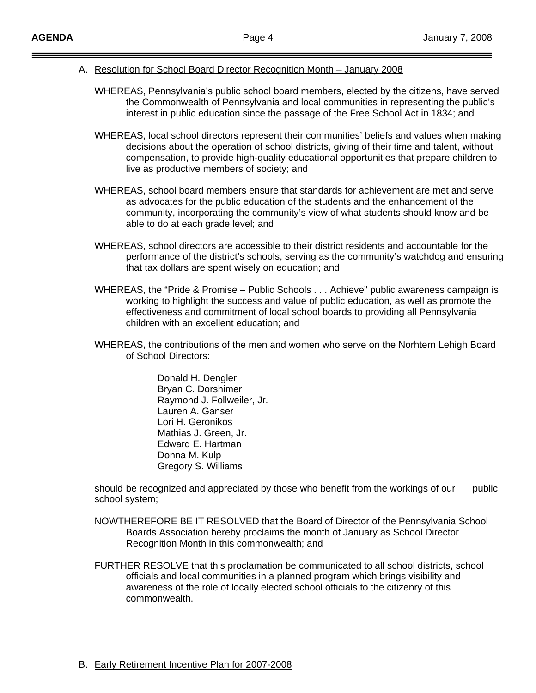- A. Resolution for School Board Director Recognition Month January 2008
	- WHEREAS, Pennsylvania's public school board members, elected by the citizens, have served the Commonwealth of Pennsylvania and local communities in representing the public's interest in public education since the passage of the Free School Act in 1834; and
	- WHEREAS, local school directors represent their communities' beliefs and values when making decisions about the operation of school districts, giving of their time and talent, without compensation, to provide high-quality educational opportunities that prepare children to live as productive members of society; and
	- WHEREAS, school board members ensure that standards for achievement are met and serve as advocates for the public education of the students and the enhancement of the community, incorporating the community's view of what students should know and be able to do at each grade level; and
	- WHEREAS, school directors are accessible to their district residents and accountable for the performance of the district's schools, serving as the community's watchdog and ensuring that tax dollars are spent wisely on education; and
	- WHEREAS, the "Pride & Promise Public Schools . . . Achieve" public awareness campaign is working to highlight the success and value of public education, as well as promote the effectiveness and commitment of local school boards to providing all Pennsylvania children with an excellent education; and
	- WHEREAS, the contributions of the men and women who serve on the Norhtern Lehigh Board of School Directors:

 Donald H. Dengler Bryan C. Dorshimer Raymond J. Follweiler, Jr. Lauren A. Ganser Lori H. Geronikos Mathias J. Green, Jr. Edward E. Hartman Donna M. Kulp Gregory S. Williams

should be recognized and appreciated by those who benefit from the workings of our public school system;

- NOWTHEREFORE BE IT RESOLVED that the Board of Director of the Pennsylvania School Boards Association hereby proclaims the month of January as School Director Recognition Month in this commonwealth; and
- FURTHER RESOLVE that this proclamation be communicated to all school districts, school officials and local communities in a planned program which brings visibility and awareness of the role of locally elected school officials to the citizenry of this commonwealth.